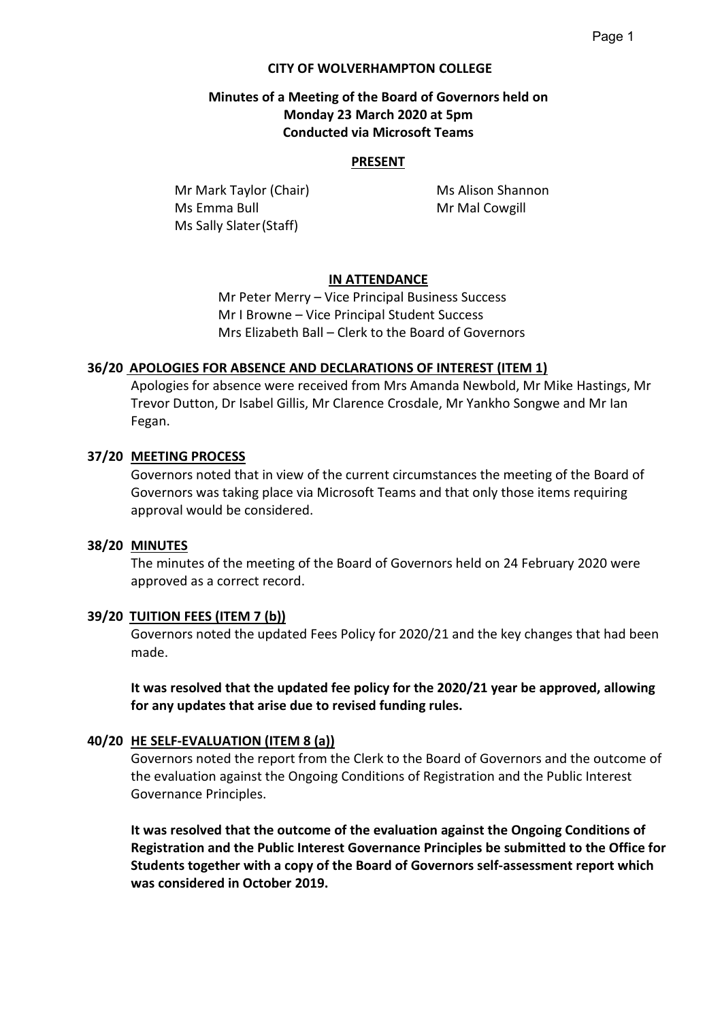## **CITY OF WOLVERHAMPTON COLLEGE**

# **Minutes of a Meeting of the Board of Governors held on Monday 23 March 2020 at 5pm Conducted via Microsoft Teams**

#### **PRESENT**

**Mr Mark Taylor (Chair)** Ms Alison Shannon Ms Emma Bull Mr Mal Cowgill Ms Sally Slater(Staff)

# **IN ATTENDANCE**

Mr Peter Merry – Vice Principal Business Success Mr I Browne – Vice Principal Student Success Mrs Elizabeth Ball – Clerk to the Board of Governors

## **36/20 APOLOGIES FOR ABSENCE AND DECLARATIONS OF INTEREST (ITEM 1)**

Apologies for absence were received from Mrs Amanda Newbold, Mr Mike Hastings, Mr Trevor Dutton, Dr Isabel Gillis, Mr Clarence Crosdale, Mr Yankho Songwe and Mr Ian Fegan.

## **37/20 MEETING PROCESS**

Governors noted that in view of the current circumstances the meeting of the Board of Governors was taking place via Microsoft Teams and that only those items requiring approval would be considered.

#### **38/20 MINUTES**

The minutes of the meeting of the Board of Governors held on 24 February 2020 were approved as a correct record.

## **39/20 TUITION FEES (ITEM 7 (b))**

Governors noted the updated Fees Policy for 2020/21 and the key changes that had been made.

**It was resolved that the updated fee policy for the 2020/21 year be approved, allowing for any updates that arise due to revised funding rules.**

## **40/20 HE SELF-EVALUATION (ITEM 8 (a))**

Governors noted the report from the Clerk to the Board of Governors and the outcome of the evaluation against the Ongoing Conditions of Registration and the Public Interest Governance Principles.

**It was resolved that the outcome of the evaluation against the Ongoing Conditions of Registration and the Public Interest Governance Principles be submitted to the Office for Students together with a copy of the Board of Governors self-assessment report which was considered in October 2019.**